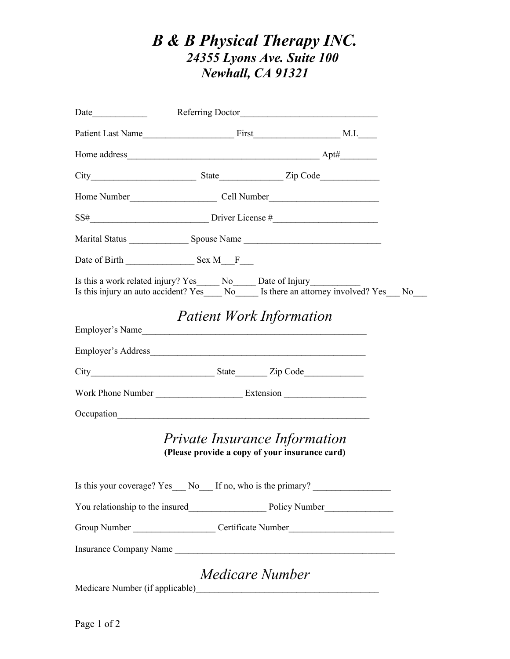## *B & B Physical Therapy INC. 24355 Lyons Ave. Suite 100 Newhall, CA 91321*

|                                                                                    | $SS\#$ Driver License $\#$ Driver License $\#$                                                   |  |
|------------------------------------------------------------------------------------|--------------------------------------------------------------------------------------------------|--|
|                                                                                    |                                                                                                  |  |
|                                                                                    |                                                                                                  |  |
| Is this a work related injury? Yes_____ No_____ Date of Injury____________         | Is this injury an auto accident? $Y \overline{es}$ No Is there an attorney involved? $Yes$ No No |  |
| <b>Patient Work Information</b><br>Employer's Name                                 |                                                                                                  |  |
|                                                                                    |                                                                                                  |  |
|                                                                                    |                                                                                                  |  |
|                                                                                    |                                                                                                  |  |
| Occupation<br><u>Communication</u>                                                 |                                                                                                  |  |
| Private Insurance Information<br>(Please provide a copy of your insurance card)    |                                                                                                  |  |
|                                                                                    | Is this your coverage? Yes__ No__ If no, who is the primary? ___________________                 |  |
|                                                                                    |                                                                                                  |  |
|                                                                                    | Group Number __________________________Certificate Number _______________________                |  |
|                                                                                    | Insurance Company Name                                                                           |  |
| Medicare Number<br>Medicare Number (if applicable) Medicare Number (if applicable) |                                                                                                  |  |